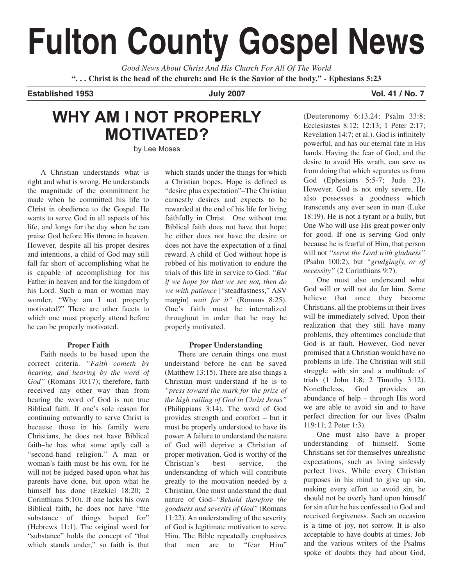# **Fulton County Gospel News**

*Good News About Christ And His Church For All Of The World* **". . . Christ is the head of the church: and He is the Savior of the body." - Ephesians 5:23**

**Established 1953 July 2007 Vol. 41 / No. 7** 

## **WHY AM I NOT PROPERLY MOTIVATED?** by Lee Moses

A Christian understands what is right and what is wrong. He understands the magnitude of the commitment he made when he committed his life to Christ in obedience to the Gospel. He wants to serve God in all aspects of his life, and longs for the day when he can praise God before His throne in heaven. However, despite all his proper desires and intentions, a child of God may still fall far short of accomplishing what he is capable of accomplishing for his Father in heaven and for the kingdom of his Lord. Such a man or woman may wonder, "Why am I not properly motivated?" There are other facets to which one must properly attend before he can be properly motivated.

#### **Proper Faith**

Faith needs to be based upon the correct criteria. *"Faith cometh by hearing, and hearing by the word of God"* (Romans 10:17); therefore, faith received any other way than from hearing the word of God is not true Biblical faith. If one's sole reason for continuing outwardly to serve Christ is because those in his family were Christians, he does not have Biblical faith–he has what some aptly call a "second-hand religion." A man or woman's faith must be his own, for he will not be judged based upon what his parents have done, but upon what he himself has done (Ezekiel 18:20; 2 Corinthians 5:10). If one lacks his own Biblical faith, he does not have "the substance of things hoped for" (Hebrews 11:1). The original word for "substance" holds the concept of "that which stands under," so faith is that which stands under the things for which a Christian hopes. Hope is defined as "desire plus expectation"–The Christian earnestly desires and expects to be rewarded at the end of his life for living faithfully in Christ. One without true Biblical faith does not have that hope; he either does not have the desire or does not have the expectation of a final reward. A child of God without hope is robbed of his motivation to endure the trials of this life in service to God. *"But if we hope for that we see not, then do we with patience* ["steadfastness," ASV margin] *wait for it"* (Romans 8:25). One's faith must be internalized throughout in order that he may be properly motivated.

#### **Proper Understanding**

There are certain things one must understand before he can be saved (Matthew 13:15). There are also things a Christian must understand if he is to *"press toward the mark for the prize of the high calling of God in Christ Jesus"* (Philippians 3:14). The word of God provides strength and comfort – but it must be properly understood to have its power. A failure to understand the nature of God will deprive a Christian of proper motivation. God is worthy of the Christian's best service, the understanding of which will contribute greatly to the motivation needed by a Christian. One must understand the dual nature of God–*"Behold therefore the goodness and severity of God"* (Romans 11:22). An understanding of the severity of God is legitimate motivation to serve Him. The Bible repeatedly emphasizes that men are to "fear Him"

(Deuteronomy 6:13,24; Psalm 33:8; Ecclesiastes 8:12; 12:13; 1 Peter 2:17; Revelation 14:7; et al.). God is infinitely powerful, and has our eternal fate in His hands. Having the fear of God, and the desire to avoid His wrath, can save us from doing that which separates us from God (Ephesians 5:5-7; Jude 23). However, God is not only severe, He also possesses a goodness which transcends any ever seen in man (Luke 18:19). He is not a tyrant or a bully, but One Who will use His great power only for good. If one is serving God only because he is fearful of Him, that person will not *"serve the Lord with gladness"* (Psalm 100:2), but *"grudgingly, or of necessity"* (2 Corinthians 9:7).

One must also understand what God will or will not do for him. Some believe that once they become Christians, all the problems in their lives will be immediately solved. Upon their realization that they still have many problems, they oftentimes conclude that God is at fault. However, God never promised that a Christian would have no problems in life. The Christian will still struggle with sin and a multitude of trials (1 John 1:8; 2 Timothy 3:12). Nonetheless, God provides an abundance of help – through His word we are able to avoid sin and to have perfect direction for our lives (Psalm 119:11; 2 Peter 1:3).

One must also have a proper understanding of himself. Some Christians set for themselves unrealistic expectations, such as living sinlessly perfect lives. While every Christian purposes in his mind to give up sin, making every effort to avoid sin, he should not be overly hard upon himself for sin after he has confessed to God and received forgiveness. Such an occasion is a time of joy, not sorrow. It is also acceptable to have doubts at times. Job and the various writers of the Psalms spoke of doubts they had about God,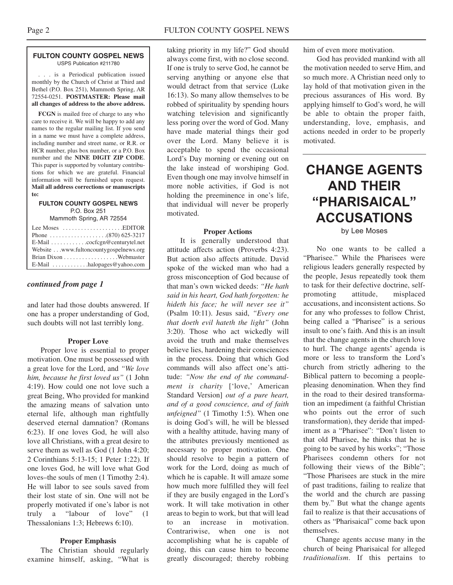#### **FULTON COUNTY GOSPEL NEWS** USPS Publication #211780

. . . is a Periodical publication issued monthly by the Church of Christ at Third and Bethel (P.O. Box 251), Mammoth Spring, AR 72554-0251. **POSTMASTER: Please mail all changes of address to the above address.**

**FCGN** is mailed free of charge to any who care to receive it. We will be happy to add any names to the regular mailing list. If you send in a name we must have a complete address, including number and street name, or R.R. or HCR number, plus box number, or a P.O. Box number and the **NINE DIGIT ZIP CODE**. This paper is supported by voluntary contributions for which we are grateful. Financial information will be furnished upon request. **Mail all address corrections or manuscripts to:**

#### **FULTON COUNTY GOSPEL NEWS** P.O. Box 251

Mammoth Spring, AR 72554

| Lee Moses $\dots\dots\dots\dots\dots\dots$ . EDITOR |
|-----------------------------------------------------|
|                                                     |
| E-Mail cocfcgn@centurytel.net                       |
| Website www.fultoncountygospelnews.org              |
|                                                     |
| E-Mail $\ldots \ldots \ldots$ halopages @ yahoo.com |

#### *continued from page 1*

and later had those doubts answered. If one has a proper understanding of God, such doubts will not last terribly long.

#### **Proper Love**

Proper love is essential to proper motivation. One must be possessed with a great love for the Lord, and *"We love him, because he first loved us"* (1 John 4:19). How could one not love such a great Being, Who provided for mankind the amazing means of salvation unto eternal life, although man rightfully deserved eternal damnation? (Romans 6:23). If one loves God, he will also love all Christians, with a great desire to serve them as well as God  $(1$  John 4:20; 2 Corinthians 5:13-15; 1 Peter 1:22). If one loves God, he will love what God loves–the souls of men (1 Timothy 2:4). He will labor to see souls saved from their lost state of sin. One will not be properly motivated if one's labor is not truly a "labour of love" (1 Thessalonians 1:3; Hebrews 6:10).

#### **Proper Emphasis**

The Christian should regularly examine himself, asking, "What is taking priority in my life?" God should always come first, with no close second. If one is truly to serve God, he cannot be serving anything or anyone else that would detract from that service (Luke 16:13). So many allow themselves to be robbed of spirituality by spending hours watching television and significantly less poring over the word of God. Many have made material things their god over the Lord. Many believe it is acceptable to spend the occasional Lord's Day morning or evening out on the lake instead of worshiping God. Even though one may involve himself in more noble activities, if God is not holding the preeminence in one's life, that individual will never be properly motivated.

#### **Proper Actions**

It is generally understood that attitude affects action (Proverbs 4:23). But action also affects attitude. David spoke of the wicked man who had a gross misconception of God because of that man's own wicked deeds: *"He hath said in his heart, God hath forgotten: he hideth his face; he will never see it"* (Psalm 10:11). Jesus said, *"Every one that doeth evil hateth the light"* (John 3:20). Those who act wickedly will avoid the truth and make themselves believe lies, hardening their consciences in the process. Doing that which God commands will also affect one's attitude: *"Now the end of the commandment is charity* ['love,' American Standard Version] *out of a pure heart, and of a good conscience, and of faith unfeigned"* (1 Timothy 1:5). When one is doing God's will, he will be blessed with a healthy attitude, having many of the attributes previously mentioned as necessary to proper motivation. One should resolve to begin a pattern of work for the Lord, doing as much of which he is capable. It will amaze some how much more fulfilled they will feel if they are busily engaged in the Lord's work. It will take motivation in other areas to begin to work, but that will lead to an increase in motivation. Contrariwise, when one is not accomplishing what he is capable of doing, this can cause him to become greatly discouraged; thereby robbing

him of even more motivation.

God has provided mankind with all the motivation needed to serve Him, and so much more. A Christian need only to lay hold of that motivation given in the precious assurances of His word. By applying himself to God's word, he will be able to obtain the proper faith, understanding, love, emphasis, and actions needed in order to be properly motivated.

## **CHANGE AGENTS AND THEIR "PHARISAICAL" ACCUSATIONS**

by Lee Moses

No one wants to be called a "Pharisee." While the Pharisees were religious leaders generally respected by the people, Jesus repeatedly took them to task for their defective doctrine, selfpromoting attitude, misplaced accusations, and inconsistent actions. So for any who professes to follow Christ, being called a "Pharisee" is a serious insult to one's faith. And this is an insult that the change agents in the church love to hurl. The change agents' agenda is more or less to transform the Lord's church from strictly adhering to the Biblical pattern to becoming a peoplepleasing denomination. When they find in the road to their desired transformation an impediment (a faithful Christian who points out the error of such transformation), they deride that impediment as a "Pharisee": "Don't listen to that old Pharisee, he thinks that he is going to be saved by his works"; "Those Pharisees condemn others for not following their views of the Bible"; "Those Pharisees are stuck in the mire of past traditions, failing to realize that the world and the church are passing them by." But what the change agents fail to realize is that their accusations of others as "Pharisaical" come back upon themselves.

Change agents accuse many in the church of being Pharisaical for alleged *traditionalism*. If this pertains to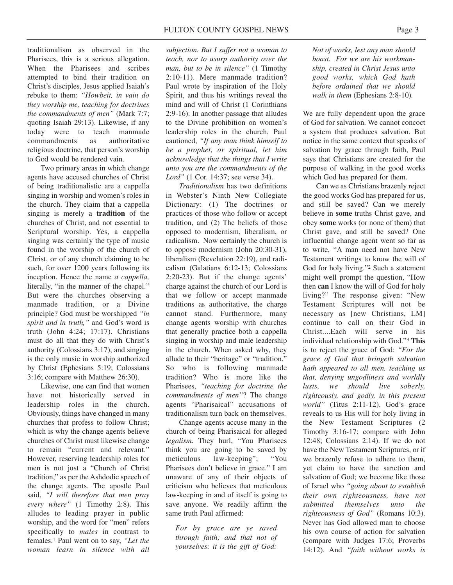traditionalism as observed in the Pharisees, this is a serious allegation. When the Pharisees and scribes attempted to bind their tradition on Christ's disciples, Jesus applied Isaiah's rebuke to them: *"Howbeit, in vain do they worship me, teaching for doctrines the commandments of men"* (Mark 7:7; quoting Isaiah 29:13). Likewise, if any today were to teach manmade commandments as authoritative religious doctrine, that person's worship to God would be rendered vain.

Two primary areas in which change agents have accused churches of Christ of being traditionalistic are a cappella singing in worship and women's roles in the church. They claim that a cappella singing is merely a **tradition** of the churches of Christ, and not essential to Scriptural worship. Yes, a cappella singing was certainly the type of music found in the worship of the church of Christ, or of any church claiming to be such, for over 1200 years following its inception. Hence the name *a cappella,* literally, "in the manner of the chapel." But were the churches observing a manmade tradition, or a Divine principle? God must be worshipped *"in spirit and in truth,"* and God's word is truth (John 4:24; 17:17). Christians must do all that they do with Christ's authority (Colossians 3:17), and singing is the only music in worship authorized by Christ (Ephesians 5:19; Colossians 3:16; compare with Matthew 26:30).

Likewise, one can find that women have not historically served in leadership roles in the church. Obviously, things have changed in many churches that profess to follow Christ; which is why the change agents believe churches of Christ must likewise change to remain "current and relevant." However, reserving leadership roles for men is not just a "Church of Christ tradition," as per the Ashdodic speech of the change agents. The apostle Paul said, *"I will therefore that men pray every where"* (1 Timothy 2:8). This alludes to leading prayer in public worship, and the word for "men" refers specifically to *males* in contrast to females.1 Paul went on to say, *"Let the woman learn in silence with all* *subjection. But I suffer not a woman to teach, nor to usurp authority over the man, but to be in silence"* (1 Timothy 2:10-11). Mere manmade tradition? Paul wrote by inspiration of the Holy Spirit, and thus his writings reveal the mind and will of Christ (1 Corinthians 2:9-16). In another passage that alludes to the Divine prohibition on women's leadership roles in the church, Paul cautioned, *"If any man think himself to be a prophet, or spiritual, let him acknowledge that the things that I write unto you are the commandments of the Lord"* (1 Cor. 14:37; see verse 34).

*Traditionalism* has two definitions in Webster's Ninth New Collegiate Dictionary: (1) The doctrines or practices of those who follow or accept tradition, and (2) The beliefs of those opposed to modernism, liberalism, or radicalism. Now certainly the church is to oppose modernism (John 20:30-31), liberalism (Revelation 22:19), and radicalism (Galatians 6:12-13; Colossians 2:20-23). But if the change agents' charge against the church of our Lord is that we follow or accept manmade traditions as authoritative, the charge cannot stand. Furthermore, many change agents worship with churches that generally practice both a cappella singing in worship and male leadership in the church. When asked why, they allude to their "heritage" or "tradition." So who is following manmade tradition? Who is more like the Pharisees, *"teaching for doctrine the commandments of men"*? The change agents "Pharisaical" accusations of traditionalism turn back on themselves.

Change agents accuse many in the church of being Pharisaical for alleged *legalism*. They hurl, "You Pharisees think you are going to be saved by meticulous law-keeping"; "You Pharisees don't believe in grace." I am unaware of any of their objects of criticism who believes that meticulous law-keeping in and of itself is going to save anyone. We readily affirm the same truth Paul affirmed:

*For by grace are ye saved through faith; and that not of yourselves: it is the gift of God:*

*Not of works, lest any man should boast. For we are his workmanship, created in Christ Jesus unto good works, which God hath before ordained that we should walk in them* (Ephesians 2:8-10)*.*

We are fully dependent upon the grace of God for salvation. We cannot concoct a system that produces salvation. But notice in the same context that speaks of salvation by grace through faith, Paul says that Christians are created for the purpose of walking in the good works which God has prepared for them.

Can we as Christians brazenly reject the good works God has prepared for us, and still be saved? Can we merely believe in **some** truths Christ gave, and obey **some** works (or none of them) that Christ gave, and still be saved? One influential change agent went so far as to write, "A man need not have New Testament writings to know the will of God for holy living."2 Such a statement might well prompt the question, "How then **can** I know the will of God for holy living?" The response given: "New Testament Scriptures will not be necessary as [new Christians, LM] continue to call on their God in Christ....Each will serve in his individual relationship with God."3 **This** is to reject the grace of God: *"For the grace of God that bringeth salvation hath appeared to all men, teaching us that, denying ungodliness and worldly lusts, we should live soberly, righteously, and godly, in this present world"* (Titus 2:11-12). God's grace reveals to us His will for holy living in the New Testament Scriptures (2 Timothy 3:16-17; compare with John 12:48; Colossians 2:14). If we do not have the New Testament Scriptures, or if we brazenly refuse to adhere to them, yet claim to have the sanction and salvation of God; we become like those of Israel who *"going about to establish their own righteousness, have not submitted themselves unto the righteousness of God"* (Romans 10:3). Never has God allowed man to choose his own course of action for salvation (compare with Judges 17:6; Proverbs 14:12). And *"faith without works is*